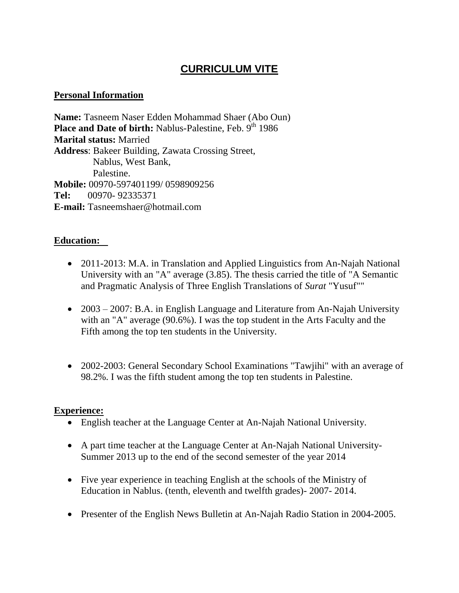# **CURRICULUM VITE**

### **Personal Information**

**Name:** Tasneem Naser Edden Mohammad Shaer (Abo Oun) **Place and Date of birth:** Nablus-Palestine, Feb. 9th 1986 **Marital status:** Married **Address**: Bakeer Building, Zawata Crossing Street, Nablus, West Bank, Palestine. **Mobile:** 00970-597401199/ 0598909256 **Tel:** 00970- 92335371 **E-mail:** Tasneemshaer@hotmail.com

### **Education:**

- 2011-2013: M.A. in Translation and Applied Linguistics from An-Najah National University with an "A" average (3.85). The thesis carried the title of "A Semantic and Pragmatic Analysis of Three English Translations of *Surat* "Yusuf""
- 2003 2007: B.A. in English Language and Literature from An-Najah University with an "A" average (90.6%). I was the top student in the Arts Faculty and the Fifth among the top ten students in the University.
- 2002-2003: General Secondary School Examinations "Tawjihi" with an average of 98.2%. I was the fifth student among the top ten students in Palestine.

#### **Experience:**

- English teacher at the Language Center at An-Najah National University.
- A part time teacher at the Language Center at An-Najah National University-Summer 2013 up to the end of the second semester of the year 2014
- Five year experience in teaching English at the schools of the Ministry of Education in Nablus. (tenth, eleventh and twelfth grades)- 2007- 2014.
- Presenter of the English News Bulletin at An-Najah Radio Station in 2004-2005.